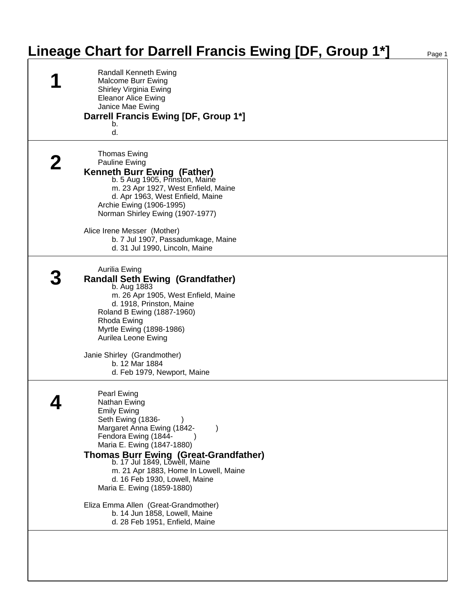## **Lineage Chart for Darrell Francis Ewing [DF, Group 1\*]** Page 1

| Randall Kenneth Ewing<br>Malcome Burr Ewing<br>Shirley Virginia Ewing<br><b>Eleanor Alice Ewing</b><br>Janice Mae Ewing<br>Darrell Francis Ewing [DF, Group 1*]<br>b.<br>d.                                                                                                                                                                                    |  |
|----------------------------------------------------------------------------------------------------------------------------------------------------------------------------------------------------------------------------------------------------------------------------------------------------------------------------------------------------------------|--|
| Thomas Ewing<br><b>Pauline Ewing</b><br><b>Kenneth Burr Ewing (Father)</b><br>b. 5 Aug 1905, Prinston, Maine<br>m. 23 Apr 1927, West Enfield, Maine<br>d. Apr 1963, West Enfield, Maine<br>Archie Ewing (1906-1995)<br>Norman Shirley Ewing (1907-1977)<br>Alice Irene Messer (Mother)<br>b. 7 Jul 1907, Passadumkage, Maine<br>d. 31 Jul 1990, Lincoln, Maine |  |
| <b>Aurilia Ewing</b><br><b>Randall Seth Ewing (Grandfather)</b><br>b. Aug 1883<br>m. 26 Apr 1905, West Enfield, Maine<br>d. 1918, Prinston, Maine<br>Roland B Ewing (1887-1960)<br>Rhoda Ewing<br>Myrtle Ewing (1898-1986)<br>Aurilea Leone Ewing<br>Janie Shirley (Grandmother)<br>b. 12 Mar 1884<br>d. Feb 1979, Newport, Maine                              |  |
| Pearl Ewing<br>Nathan Ewing<br><b>Emily Ewing</b><br>Seth Ewing (1836-<br>Margaret Anna Ewing (1842-<br>Fendora Ewing (1844-<br>Maria E. Ewing (1847-1880)<br>Thomas Burr Ewing (Great-Grandfather)<br>b. 17 Jul 1849, Lowell, Maine<br>m. 21 Apr 1883, Home In Lowell, Maine<br>d. 16 Feb 1930, Lowell, Maine<br>Maria E. Ewing (1859-1880)                   |  |
| Eliza Emma Allen (Great-Grandmother)<br>b. 14 Jun 1858, Lowell, Maine<br>d. 28 Feb 1951, Enfield, Maine                                                                                                                                                                                                                                                        |  |